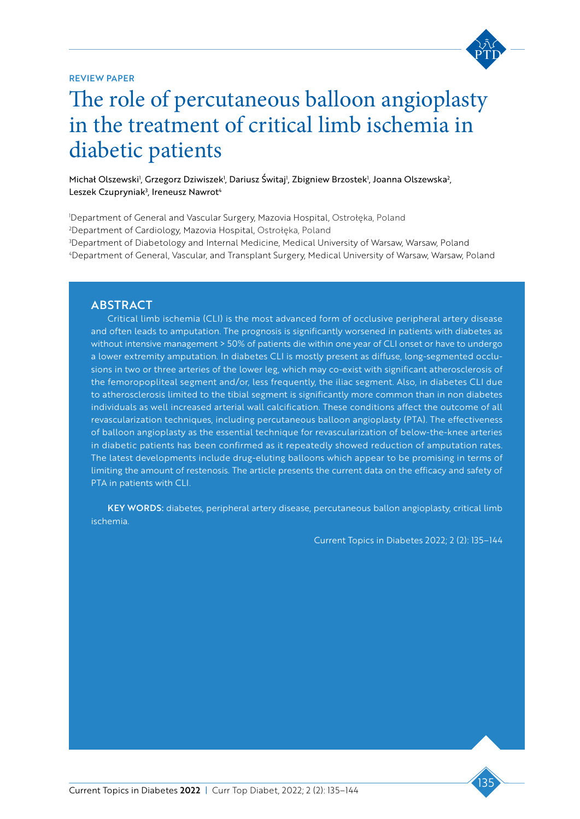#### REVIEW PAPER



# Tatquae consequi doluptatum doluptatem The role of percutaneous balloon angioplasty in the treatment of critical limb ischemia in diabetic patients

Michał Olszewski<sup>)</sup>, Grzegorz Dziwiszek<sup>1</sup>, Dariusz Switaj<sup>1</sup>, Zbigniew Brzostek<sup>1</sup>, Joanna Olszewska<sup>2</sup>, Leszek Czupryniak<sup>3</sup>, Ireneusz Nawrot<sup>4</sup>

a<br>a Department of General and Vascular Surgery, Mazovia Hospital, Ostrołęka, Poland Department of Cardiology, Mazovia Hospital, Ostrołęka, Poland Department of Diabetology and Internal Medicine, Medical University of Warsaw, Warsaw, Poland Department of General, Vascular, and Transplant Surgery, Medical University of Warsaw, Warsaw, Poland

## **ABSTRACT**

Critical limb ischemia (CLI) is the most advanced form of occlusive peripheral artery disease and often leads to amputation. The prognosis is significantly worsened in patients with diabetes as without intensive management > 50% of patients die within one year of CLI onset or have to undergo a lower extremity amputation. In diabetes CLI is mostly present as diffuse, long-segmented occlusions in two or three arteries of the lower leg, which may co-exist with significant atherosclerosis of the femoropopliteal segment and/or, less frequently, the iliac segment. Also, in diabetes CLI due to atherosclerosis limited to the tibial segment is significantly more common than in non diabetes individuals as well increased arterial wall calcification. These conditions affect the outcome of all revascularization techniques, including percutaneous balloon angioplasty (PTA). The effectiveness of balloon angioplasty as the essential technique for revascularization of below-the-knee arteries in diabetic patients has been confirmed as it repeatedly showed reduction of amputation rates. The latest developments include drug-eluting balloons which appear to be promising in terms of limiting the amount of restenosis. The article presents the current data on the efficacy and safety of PTA in patients with CLI.

KEY WORDS: diabetes, peripheral artery disease, percutaneous ballon angioplasty, critical limb ischemia.

Current Topics in Diabetes 2022; 2 (2): 135–144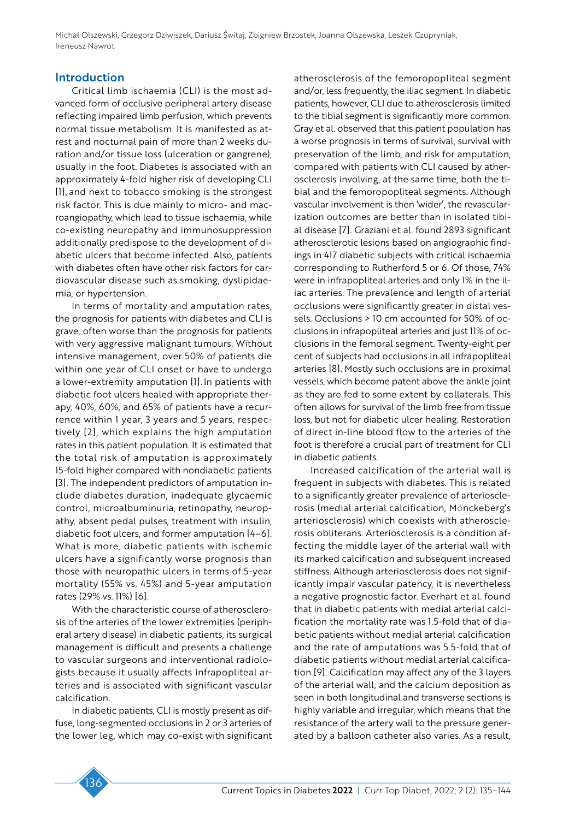#### Introduction

Critical limb ischaemia (CLI) is the most advanced form of occlusive peripheral artery disease reflecting impaired limb perfusion, which prevents normal tissue metabolism. It is manifested as atrest and nocturnal pain of more than 2 weeks duration and/or tissue loss (ulceration or gangrene), usually in the foot. Diabetes is associated with an approximately 4-fold higher risk of developing CLI [1], and next to tobacco smoking is the strongest risk factor. This is due mainly to micro- and macroangiopathy, which lead to tissue ischaemia, while co-existing neuropathy and immunosuppression additionally predispose to the development of diabetic ulcers that become infected. Also, patients with diabetes often have other risk factors for cardiovascular disease such as smoking, dyslipidaemia, or hypertension.

In terms of mortality and amputation rates, the prognosis for patients with diabetes and CLI is grave, often worse than the prognosis for patients with very aggressive malignant tumours. Without intensive management, over 50% of patients die within one year of CLI onset or have to undergo a lower-extremity amputation [1]. In patients with diabetic foot ulcers healed with appropriate therapy, 40%, 60%, and 65% of patients have a recurrence within 1 year, 3 years and 5 years, respectively [2], which explains the high amputation rates in this patient population. It is estimated that the total risk of amputation is approximately 15-fold higher compared with nondiabetic patients [3]. The independent predictors of amputation include diabetes duration, inadequate glycaemic control, microalbuminuria, retinopathy, neuropathy, absent pedal pulses, treatment with insulin, diabetic foot ulcers, and former amputation [4–6]. What is more, diabetic patients with ischemic ulcers have a significantly worse prognosis than those with neuropathic ulcers in terms of 5-year mortality (55% vs. 45%) and 5-year amputation rates (29% vs. 11%) [6].

With the characteristic course of atherosclerosis of the arteries of the lower extremities (peripheral artery disease) in diabetic patients, its surgical management is difficult and presents a challenge to vascular surgeons and interventional radiologists because it usually affects infrapopliteal arteries and is associated with significant vascular calcification.

In diabetic patients, CLI is mostly present as diffuse, long-segmented occlusions in 2 or 3 arteries of the lower leg, which may co-exist with significant atherosclerosis of the femoropopliteal segment and/or, less frequently, the iliac segment. In diabetic patients, however, CLI due to atherosclerosis limited to the tibial segment is significantly more common. Gray et al. observed that this patient population has a worse prognosis in terms of survival, survival with preservation of the limb, and risk for amputation, compared with patients with CLI caused by atherosclerosis involving, at the same time, both the tibial and the femoropopliteal segments. Although vascular involvement is then 'wider', the revascularization outcomes are better than in isolated tibial disease [7]. Graziani et al. found 2893 significant atherosclerotic lesions based on angiographic findings in 417 diabetic subjects with critical ischaemia corresponding to Rutherford 5 or 6. Of those, 74% were in infrapopliteal arteries and only 1% in the iliac arteries. The prevalence and length of arterial occlusions were significantly greater in distal vessels. Occlusions > 10 cm accounted for 50% of occlusions in infrapopliteal arteries and just 11% of occlusions in the femoral segment. Twenty-eight per cent of subjects had occlusions in all infrapopliteal arteries [8]. Mostly such occlusions are in proximal vessels, which become patent above the ankle joint as they are fed to some extent by collaterals. This often allows for survival of the limb free from tissue loss, but not for diabetic ulcer healing. Restoration of direct in-line blood flow to the arteries of the foot is therefore a crucial part of treatment for CLI in diabetic patients.

Increased calcification of the arterial wall is frequent in subjects with diabetes. This is related to a significantly greater prevalence of arteriosclerosis (medial arterial calcification, Mönckeberg's arteriosclerosis) which coexists with atherosclerosis obliterans. Arteriosclerosis is a condition affecting the middle layer of the arterial wall with its marked calcification and subsequent increased stiffness. Although arteriosclerosis does not significantly impair vascular patency, it is nevertheless a negative prognostic factor. Everhart et al. found that in diabetic patients with medial arterial calcification the mortality rate was 1.5-fold that of diabetic patients without medial arterial calcification and the rate of amputations was 5.5-fold that of diabetic patients without medial arterial calcification [9]. Calcification may affect any of the 3 layers of the arterial wall, and the calcium deposition as seen in both longitudinal and transverse sections is highly variable and irregular, which means that the resistance of the artery wall to the pressure generated by a balloon catheter also varies. As a result,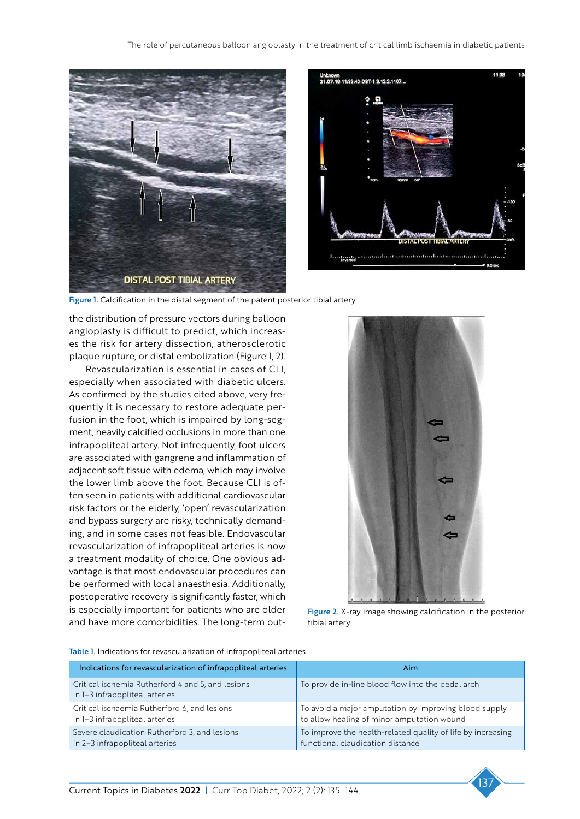



Figure 1. Calcification in the distal segment of the patent posterior tibial artery

the distribution of pressure vectors during balloon angioplasty is difficult to predict, which increases the risk for artery dissection, atherosclerotic plaque rupture, or distal embolization (Figure 1, 2).

Revascularization is essential in cases of CLI, especially when associated with diabetic ulcers. As confirmed by the studies cited above, very frequently it is necessary to restore adequate perfusion in the foot, which is impaired by long-segment, heavily calcified occlusions in more than one infrapopliteal artery. Not infrequently, foot ulcers are associated with gangrene and inflammation of adjacent soft tissue with edema, which may involve the lower limb above the foot. Because CLI is often seen in patients with additional cardiovascular risk factors or the elderly, 'open' revascularization and bypass surgery are risky, technically demanding, and in some cases not feasible. Endovascular revascularization of infrapopliteal arteries is now a treatment modality of choice. One obvious advantage is that most endovascular procedures can be performed with local anaesthesia. Additionally, postoperative recovery is significantly faster, which is especially important for patients who are older and have more comorbidities. The long-term out-



Figure 2. X-ray image showing calcification in the posterior tibial artery

| Indications for revascularization of infrapopliteal arteries                        | Aim                                                                                                 |  |  |  |
|-------------------------------------------------------------------------------------|-----------------------------------------------------------------------------------------------------|--|--|--|
| Critical ischemia Rutherford 4 and 5, and lesions<br>in 1-3 infrapopliteal arteries | To provide in-line blood flow into the pedal arch                                                   |  |  |  |
| Critical ischaemia Rutherford 6, and lesions<br>in 1-3 infrapopliteal arteries      | To avoid a major amputation by improving blood supply<br>to allow healing of minor amputation wound |  |  |  |
| Severe claudication Rutherford 3, and lesions<br>in 2-3 infrapopliteal arteries     | To improve the health-related quality of life by increasing<br>functional claudication distance     |  |  |  |

Table 1. Indications for revascularization of infrapopliteal arteries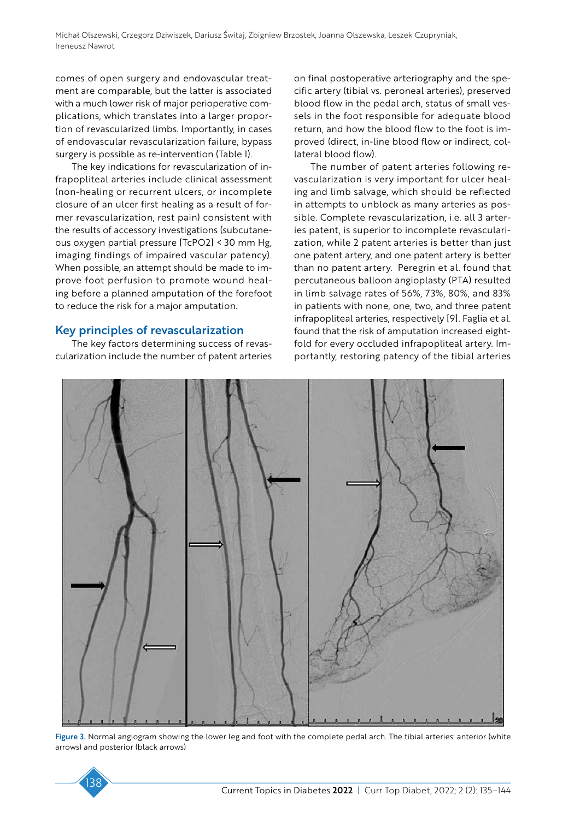comes of open surgery and endovascular treatment are comparable, but the latter is associated with a much lower risk of major perioperative complications, which translates into a larger proportion of revascularized limbs. Importantly, in cases of endovascular revascularization failure, bypass surgery is possible as re-intervention (Table 1).

The key indications for revascularization of infrapopliteal arteries include clinical assessment (non-healing or recurrent ulcers, or incomplete closure of an ulcer first healing as a result of former revascularization, rest pain) consistent with the results of accessory investigations (subcutaneous oxygen partial pressure [TcPO2] < 30 mm Hg, imaging findings of impaired vascular patency). When possible, an attempt should be made to improve foot perfusion to promote wound healing before a planned amputation of the forefoot to reduce the risk for a major amputation.

### Key principles of revascularization

The key factors determining success of revascularization include the number of patent arteries on final postoperative arteriography and the specific artery (tibial vs. peroneal arteries), preserved blood flow in the pedal arch, status of small vessels in the foot responsible for adequate blood return, and how the blood flow to the foot is improved (direct, in-line blood flow or indirect, collateral blood flow).

The number of patent arteries following revascularization is very important for ulcer healing and limb salvage, which should be reflected in attempts to unblock as many arteries as possible. Complete revascularization, i.e. all 3 arteries patent, is superior to incomplete revascularization, while 2 patent arteries is better than just one patent artery, and one patent artery is better than no patent artery. Peregrin et al. found that percutaneous balloon angioplasty (PTA) resulted in limb salvage rates of 56%, 73%, 80%, and 83% in patients with none, one, two, and three patent infrapopliteal arteries, respectively [9]. Faglia et al. found that the risk of amputation increased eightfold for every occluded infrapopliteal artery. Importantly, restoring patency of the tibial arteries



Figure 3. Normal angiogram showing the lower leg and foot with the complete pedal arch. The tibial arteries: anterior (white arrows) and posterior (black arrows)

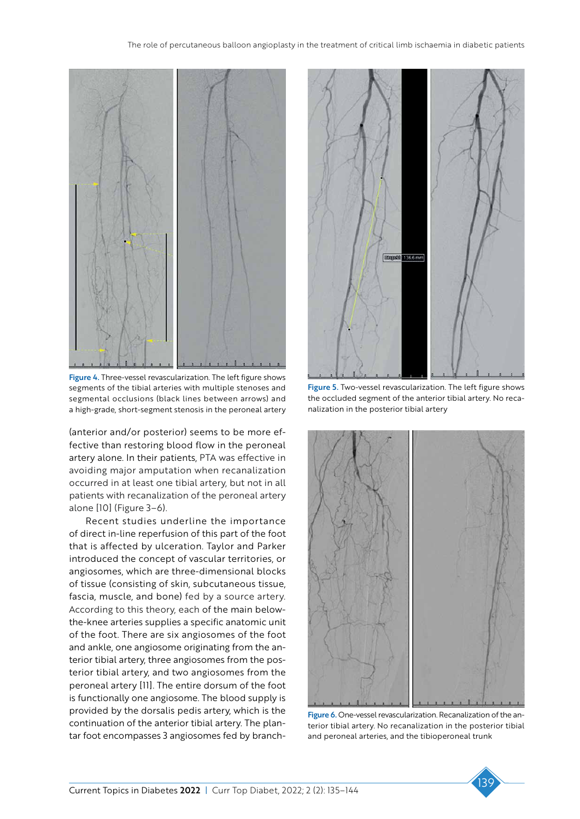

Figure 4. Three-vessel revascularization. The left figure shows segments of the tibial arteries with multiple stenoses and segmental occlusions (black lines between arrows) and a high-grade, short-segment stenosis in the peroneal artery

(anterior and/or posterior) seems to be more effective than restoring blood flow in the peroneal artery alone. In their patients, PTA was effective in avoiding major amputation when recanalization occurred in at least one tibial artery, but not in all patients with recanalization of the peroneal artery alone [10] (Figure 3–6).

Recent studies underline the importance of direct in-line reperfusion of this part of the foot that is affected by ulceration. Taylor and Parker introduced the concept of vascular territories, or angiosomes, which are three-dimensional blocks of tissue (consisting of skin, subcutaneous tissue, fascia, muscle, and bone) fed by a source artery. According to this theory, each of the main belowthe-knee arteries supplies a specific anatomic unit of the foot. There are six angiosomes of the foot and ankle, one angiosome originating from the anterior tibial artery, three angiosomes from the posterior tibial artery, and two angiosomes from the peroneal artery [11]. The entire dorsum of the foot is functionally one angiosome. The blood supply is provided by the dorsalis pedis artery, which is the continuation of the anterior tibial artery. The plantar foot encompasses 3 angiosomes fed by branch-



Figure 5. Two-vessel revascularization. The left figure shows the occluded segment of the anterior tibial artery. No recanalization in the posterior tibial artery



Figure 6. One-vessel revascularization. Recanalization of the anterior tibial artery. No recanalization in the posterior tibial and peroneal arteries, and the tibioperoneal trunk

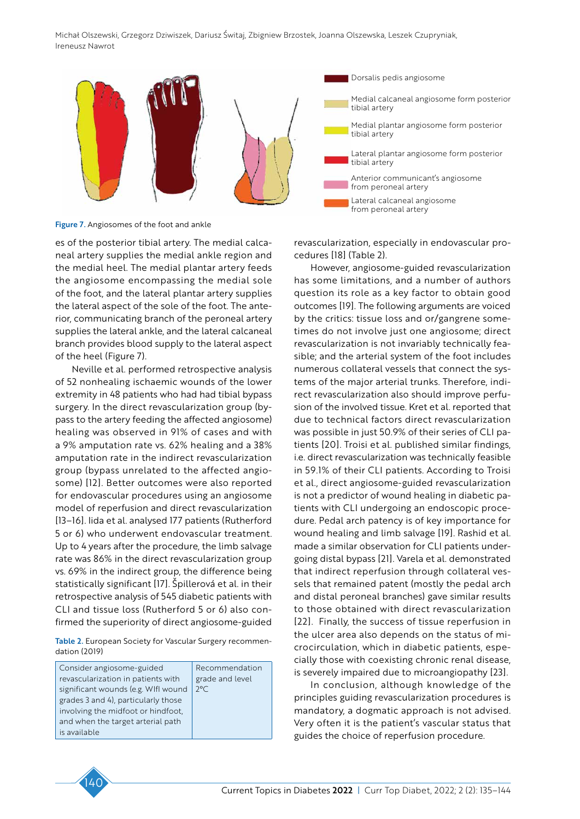

Figure 7. Angiosomes of the foot and ankle

es of the posterior tibial artery. The medial calcaneal artery supplies the medial ankle region and the medial heel. The medial plantar artery feeds the angiosome encompassing the medial sole of the foot, and the lateral plantar artery supplies the lateral aspect of the sole of the foot. The anterior, communicating branch of the peroneal artery supplies the lateral ankle, and the lateral calcaneal branch provides blood supply to the lateral aspect of the heel (Figure 7).

Neville et al. performed retrospective analysis of 52 nonhealing ischaemic wounds of the lower extremity in 48 patients who had had tibial bypass surgery. In the direct revascularization group (bypass to the artery feeding the affected angiosome) healing was observed in 91% of cases and with a 9% amputation rate vs. 62% healing and a 38% amputation rate in the indirect revascularization group (bypass unrelated to the affected angiosome) [12]. Better outcomes were also reported for endovascular procedures using an angiosome model of reperfusion and direct revascularization [13–16]. Iida et al. analysed 177 patients (Rutherford 5 or 6) who underwent endovascular treatment. Up to 4 years after the procedure, the limb salvage rate was 86% in the direct revascularization group vs. 69% in the indirect group, the difference being statistically significant [17]. Špillerová et al. in their retrospective analysis of 545 diabetic patients with CLI and tissue loss (Rutherford 5 or 6) also confirmed the superiority of direct angiosome-guided

Table 2. European Society for Vascular Surgery recommendation (2019)

| Consider angiosome-guided           | Recommendation  |
|-------------------------------------|-----------------|
| revascularization in patients with  | grade and level |
| significant wounds (e.g. WIfl wound | $2^{\circ}$ C   |
| grades 3 and 4), particularly those |                 |
| involving the midfoot or hindfoot,  |                 |
| and when the target arterial path   |                 |
| is available                        |                 |

revascularization, especially in endovascular procedures [18] (Table 2).

However, angiosome-guided revascularization has some limitations, and a number of authors question its role as a key factor to obtain good outcomes [19]. The following arguments are voiced by the critics: tissue loss and or/gangrene sometimes do not involve just one angiosome; direct revascularization is not invariably technically feasible; and the arterial system of the foot includes numerous collateral vessels that connect the systems of the major arterial trunks. Therefore, indirect revascularization also should improve perfusion of the involved tissue. Kret et al. reported that due to technical factors direct revascularization was possible in just 50.9% of their series of CLI patients [20]. Troisi et al. published similar findings, i.e. direct revascularization was technically feasible in 59.1% of their CLI patients. According to Troisi et al., direct angiosome-guided revascularization is not a predictor of wound healing in diabetic patients with CLI undergoing an endoscopic procedure. Pedal arch patency is of key importance for wound healing and limb salvage [19]. Rashid et al. made a similar observation for CLI patients undergoing distal bypass [21]. Varela et al. demonstrated that indirect reperfusion through collateral vessels that remained patent (mostly the pedal arch and distal peroneal branches) gave similar results to those obtained with direct revascularization [22]. Finally, the success of tissue reperfusion in the ulcer area also depends on the status of microcirculation, which in diabetic patients, especially those with coexisting chronic renal disease, is severely impaired due to microangiopathy [23].

In conclusion, although knowledge of the principles guiding revascularization procedures is mandatory, a dogmatic approach is not advised. Very often it is the patient's vascular status that guides the choice of reperfusion procedure.

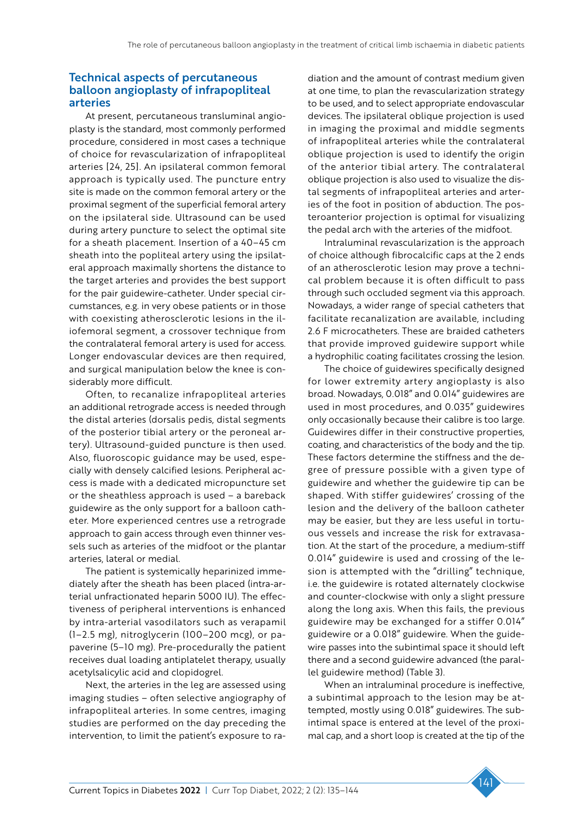## Technical aspects of percutaneous balloon angioplasty of infrapopliteal arteries

At present, percutaneous transluminal angioplasty is the standard, most commonly performed procedure, considered in most cases a technique of choice for revascularization of infrapopliteal arteries [24, 25]. An ipsilateral common femoral approach is typically used. The puncture entry site is made on the common femoral artery or the proximal segment of the superficial femoral artery on the ipsilateral side. Ultrasound can be used during artery puncture to select the optimal site for a sheath placement. Insertion of a 40–45 cm sheath into the popliteal artery using the ipsilateral approach maximally shortens the distance to the target arteries and provides the best support for the pair guidewire-catheter. Under special circumstances, e.g. in very obese patients or in those with coexisting atherosclerotic lesions in the iliofemoral segment, a crossover technique from the contralateral femoral artery is used for access. Longer endovascular devices are then required, and surgical manipulation below the knee is considerably more difficult.

Often, to recanalize infrapopliteal arteries an additional retrograde access is needed through the distal arteries (dorsalis pedis, distal segments of the posterior tibial artery or the peroneal artery). Ultrasound-guided puncture is then used. Also, fluoroscopic guidance may be used, especially with densely calcified lesions. Peripheral access is made with a dedicated micropuncture set or the sheathless approach is used – a bareback guidewire as the only support for a balloon catheter. More experienced centres use a retrograde approach to gain access through even thinner vessels such as arteries of the midfoot or the plantar arteries, lateral or medial.

The patient is systemically heparinized immediately after the sheath has been placed (intra-arterial unfractionated heparin 5000 IU). The effectiveness of peripheral interventions is enhanced by intra-arterial vasodilators such as verapamil (1–2.5 mg), nitroglycerin (100–200 mcg), or papaverine (5–10 mg). Pre-procedurally the patient receives dual loading antiplatelet therapy, usually acetylsalicylic acid and clopidogrel.

Next, the arteries in the leg are assessed using imaging studies – often selective angiography of infrapopliteal arteries. In some centres, imaging studies are performed on the day preceding the intervention, to limit the patient's exposure to radiation and the amount of contrast medium given at one time, to plan the revascularization strategy to be used, and to select appropriate endovascular devices. The ipsilateral oblique projection is used in imaging the proximal and middle segments of infrapopliteal arteries while the contralateral oblique projection is used to identify the origin of the anterior tibial artery. The contralateral oblique projection is also used to visualize the distal segments of infrapopliteal arteries and arteries of the foot in position of abduction. The posteroanterior projection is optimal for visualizing the pedal arch with the arteries of the midfoot.

Intraluminal revascularization is the approach of choice although fibrocalcific caps at the 2 ends of an atherosclerotic lesion may prove a technical problem because it is often difficult to pass through such occluded segment via this approach. Nowadays, a wider range of special catheters that facilitate recanalization are available, including 2.6 F microcatheters. These are braided catheters that provide improved guidewire support while a hydrophilic coating facilitates crossing the lesion.

The choice of guidewires specifically designed for lower extremity artery angioplasty is also broad. Nowadays, 0.018" and 0.014" guidewires are used in most procedures, and 0.035" guidewires only occasionally because their calibre is too large. Guidewires differ in their constructive properties, coating, and characteristics of the body and the tip. These factors determine the stiffness and the degree of pressure possible with a given type of guidewire and whether the guidewire tip can be shaped. With stiffer guidewires' crossing of the lesion and the delivery of the balloon catheter may be easier, but they are less useful in tortuous vessels and increase the risk for extravasation. At the start of the procedure, a medium-stiff 0.014" guidewire is used and crossing of the lesion is attempted with the "drilling" technique, i.e. the guidewire is rotated alternately clockwise and counter-clockwise with only a slight pressure along the long axis. When this fails, the previous guidewire may be exchanged for a stiffer 0.014" guidewire or a 0.018" guidewire. When the guidewire passes into the subintimal space it should left there and a second guidewire advanced (the parallel guidewire method) (Table 3).

When an intraluminal procedure is ineffective, a subintimal approach to the lesion may be attempted, mostly using 0.018" guidewires. The subintimal space is entered at the level of the proximal cap, and a short loop is created at the tip of the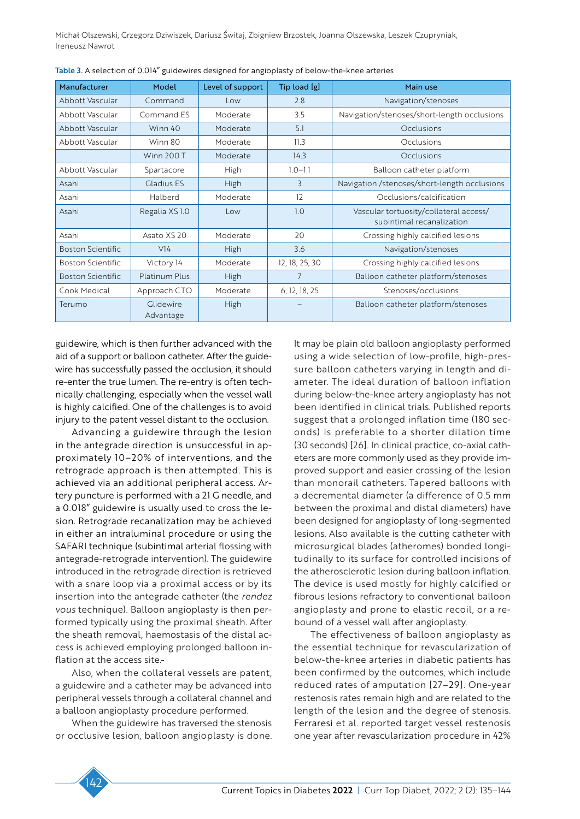| Manufacturer             | Model                  | Level of support | Tip load [g]   | Main use                                                            |
|--------------------------|------------------------|------------------|----------------|---------------------------------------------------------------------|
| Abbott Vascular          | Command                | Low              | 2.8            | Navigation/stenoses                                                 |
| Abbott Vascular          | Command ES             | Moderate         | 3.5            | Navigation/stenoses/short-length occlusions                         |
| Abbott Vascular          | Winn 40                | Moderate         | 5.1            | <b>Occlusions</b>                                                   |
| Abbott Vascular          | Winn 80                | Moderate         | 11.3           | Occlusions                                                          |
|                          | <b>Winn 200 T</b>      | Moderate         | 14.3           | Occlusions                                                          |
| Abbott Vascular          | Spartacore             | High             | $1.0 - 1.1$    | Balloon catheter platform                                           |
| Asahi                    | <b>Gladius ES</b>      | High             | 3              | Navigation /stenoses/short-length occlusions                        |
| Asahi                    | Halberd                | Moderate         | 12             | Occlusions/calcification                                            |
| Asahi                    | Regalia XS 1.0         | Low              | 1.0            | Vascular tortuosity/collateral access/<br>subintimal recanalization |
| Asahi                    | Asato XS 20            | Moderate         | 20             | Crossing highly calcified lesions                                   |
| <b>Boston Scientific</b> | V <sub>14</sub>        | <b>High</b>      | 3.6            | Navigation/stenoses                                                 |
| <b>Boston Scientific</b> | Victory 14             | Moderate         | 12, 18, 25, 30 | Crossing highly calcified lesions                                   |
| <b>Boston Scientific</b> | <b>Platinum Plus</b>   | High             | 7              | Balloon catheter platform/stenoses                                  |
| Cook Medical             | Approach CTO           | Moderate         | 6, 12, 18, 25  | Stenoses/occlusions                                                 |
| Terumo                   | Glidewire<br>Advantage | <b>High</b>      |                | Balloon catheter platform/stenoses                                  |

Table 3. A selection of 0.014" guidewires designed for angioplasty of below-the-knee arteries

guidewire, which is then further advanced with the aid of a support or balloon catheter. After the guidewire has successfully passed the occlusion, it should re-enter the true lumen. The re-entry is often technically challenging, especially when the vessel wall is highly calcified. One of the challenges is to avoid injury to the patent vessel distant to the occlusion.

Advancing a guidewire through the lesion in the antegrade direction is unsuccessful in approximately 10–20% of interventions, and the retrograde approach is then attempted. This is achieved via an additional peripheral access. Artery puncture is performed with a 21 G needle, and a 0.018" guidewire is usually used to cross the lesion. Retrograde recanalization may be achieved in either an intraluminal procedure or using the SAFARI technique (subintimal arterial flossing with antegrade-retrograde intervention). The guidewire introduced in the retrograde direction is retrieved with a snare loop via a proximal access or by its insertion into the antegrade catheter (the *rendez vous* technique). Balloon angioplasty is then performed typically using the proximal sheath. After the sheath removal, haemostasis of the distal access is achieved employing prolonged balloon inflation at the access site.

Also, when the collateral vessels are patent, a guidewire and a catheter may be advanced into peripheral vessels through a collateral channel and a balloon angioplasty procedure performed.

When the guidewire has traversed the stenosis or occlusive lesion, balloon angioplasty is done. It may be plain old balloon angioplasty performed using a wide selection of low-profile, high-pressure balloon catheters varying in length and diameter. The ideal duration of balloon inflation during below-the-knee artery angioplasty has not been identified in clinical trials. Published reports suggest that a prolonged inflation time (180 seconds) is preferable to a shorter dilation time (30 seconds) [26]. In clinical practice, co-axial catheters are more commonly used as they provide improved support and easier crossing of the lesion than monorail catheters. Tapered balloons with a decremental diameter (a difference of 0.5 mm between the proximal and distal diameters) have been designed for angioplasty of long-segmented lesions. Also available is the cutting catheter with microsurgical blades (atheromes) bonded longitudinally to its surface for controlled incisions of the atherosclerotic lesion during balloon inflation. The device is used mostly for highly calcified or fibrous lesions refractory to conventional balloon angioplasty and prone to elastic recoil, or a rebound of a vessel wall after angioplasty.

The effectiveness of balloon angioplasty as the essential technique for revascularization of below-the-knee arteries in diabetic patients has been confirmed by the outcomes, which include reduced rates of amputation [27–29]. One-year restenosis rates remain high and are related to the length of the lesion and the degree of stenosis. Ferraresi et al. reported target vessel restenosis one year after revascularization procedure in 42%

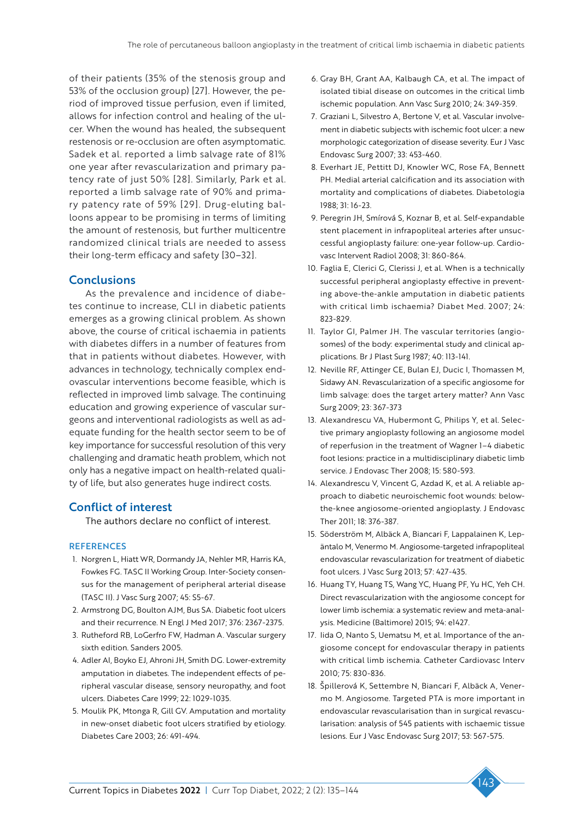of their patients (35% of the stenosis group and 53% of the occlusion group) [27]. However, the period of improved tissue perfusion, even if limited, allows for infection control and healing of the ulcer. When the wound has healed, the subsequent restenosis or re-occlusion are often asymptomatic. Sadek et al. reported a limb salvage rate of 81% one year after revascularization and primary patency rate of just 50% [28]. Similarly, Park et al. reported a limb salvage rate of 90% and primary patency rate of 59% [29]. Drug-eluting balloons appear to be promising in terms of limiting the amount of restenosis, but further multicentre randomized clinical trials are needed to assess their long-term efficacy and safety [30–32].

## **Conclusions**

As the prevalence and incidence of diabetes continue to increase, CLI in diabetic patients emerges as a growing clinical problem. As shown above, the course of critical ischaemia in patients with diabetes differs in a number of features from that in patients without diabetes. However, with advances in technology, technically complex endovascular interventions become feasible, which is reflected in improved limb salvage. The continuing education and growing experience of vascular surgeons and interventional radiologists as well as adequate funding for the health sector seem to be of key importance for successful resolution of this very challenging and dramatic heath problem, which not only has a negative impact on health-related quality of life, but also generates huge indirect costs.

## Conflict of interest

The authors declare no conflict of interest.

#### **REFERENCES**

- 1. Norgren L, Hiatt WR, Dormandy JA, Nehler MR, Harris KA, Fowkes FG. TASC II Working Group. Inter-Society consensus for the management of peripheral arterial disease (TASC II). J Vasc Surg 2007; 45: S5-67.
- 2. Armstrong DG, Boulton AJM, Bus SA. Diabetic foot ulcers and their recurrence. N Engl J Med 2017; 376: 2367-2375.
- 3. Rutheford RB, LoGerfro FW, Hadman A. Vascular surgery sixth edition. Sanders 2005.
- 4. Adler AI, Boyko EJ, Ahroni JH, Smith DG. Lower-extremity amputation in diabetes. The independent effects of peripheral vascular disease, sensory neuropathy, and foot ulcers. Diabetes Care 1999; 22: 1029-1035.
- 5. Moulik PK, Mtonga R, Gill GV. Amputation and mortality in new-onset diabetic foot ulcers stratified by etiology. Diabetes Care 2003; 26: 491-494.
- 6. Gray BH, Grant AA, Kalbaugh CA, et al. The impact of isolated tibial disease on outcomes in the critical limb ischemic population. Ann Vasc Surg 2010; 24: 349-359.
- 7. Graziani L, Silvestro A, Bertone V, et al. Vascular involvement in diabetic subjects with ischemic foot ulcer: a new morphologic categorization of disease severity. Eur J Vasc Endovasc Surg 2007; 33: 453-460.
- 8. Everhart JE, Pettitt DJ, Knowler WC, Rose FA, Bennett PH. Medial arterial calcification and its association with mortality and complications of diabetes. Diabetologia 1988; 31: 16-23.
- 9. Peregrin JH, Smírová S, Koznar B, et al. Self-expandable stent placement in infrapopliteal arteries after unsuccessful angioplasty failure: one-year follow-up. Cardiovasc Intervent Radiol 2008; 31: 860-864.
- 10. Faglia E, Clerici G, Clerissi J, et al. When is a technically successful peripheral angioplasty effective in preventing above-the-ankle amputation in diabetic patients with critical limb ischaemia? Diabet Med. 2007; 24: 823-829.
- 11. Taylor GI, Palmer JH. The vascular territories (angiosomes) of the body: experimental study and clinical applications. Br J Plast Surg 1987; 40: 113-141.
- 12. Neville RF, Attinger CE, Bulan EJ, Ducic I, Thomassen M, Sidawy AN. Revascularization of a specific angiosome for limb salvage: does the target artery matter? Ann Vasc Surg 2009; 23: 367-373
- 13. Alexandrescu VA, Hubermont G, Philips Y, et al. Selective primary angioplasty following an angiosome model of reperfusion in the treatment of Wagner 1–4 diabetic foot lesions: practice in a multidisciplinary diabetic limb service. J Endovasc Ther 2008; 15: 580-593.
- 14. Alexandrescu V, Vincent G, Azdad K, et al. A reliable approach to diabetic neuroischemic foot wounds: belowthe-knee angiosome-oriented angioplasty. J Endovasc Ther 2011; 18: 376-387.
- 15. Söderström M, Albäck A, Biancari F, Lappalainen K, Lepäntalo M, Venermo M. Angiosome-targeted infrapopliteal endovascular revascularization for treatment of diabetic foot ulcers. J Vasc Surg 2013; 57: 427-435.
- 16. Huang TY, Huang TS, Wang YC, Huang PF, Yu HC, Yeh CH. Direct revascularization with the angiosome concept for lower limb ischemia: a systematic review and meta-analysis. Medicine (Baltimore) 2015; 94: e1427.
- 17. Iida O, Nanto S, Uematsu M, et al. Importance of the angiosome concept for endovascular therapy in patients with critical limb ischemia. Catheter Cardiovasc Interv 2010; 75: 830-836.
- 18. Špillerová K, Settembre N, Biancari F, Albäck A, Venermo M. Angiosome. Targeted PTA is more important in endovascular revascularisation than in surgical revascularisation: analysis of 545 patients with ischaemic tissue lesions. Eur J Vasc Endovasc Surg 2017; 53: 567-575.